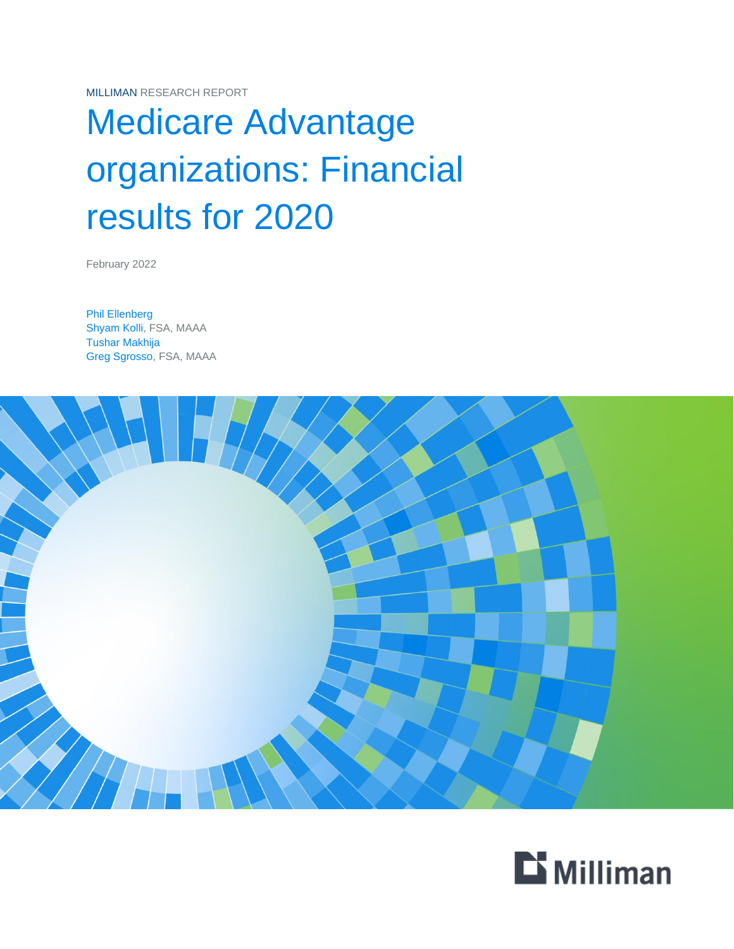MILLIMAN RESEARCH REPORT

# Medicare Advantage organizations: Financial results for 2020

February 2022

Phil Ellenberg Shyam Kolli, FSA, MAAA Tushar Makhija Greg Sgrosso, FSA, MAAA



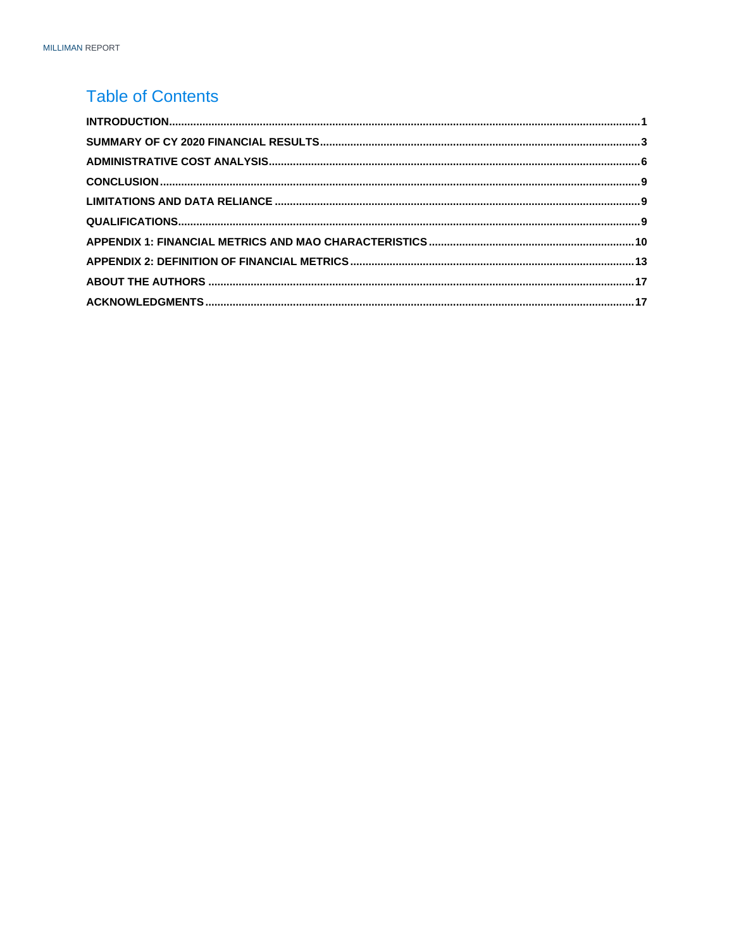### **Table of Contents**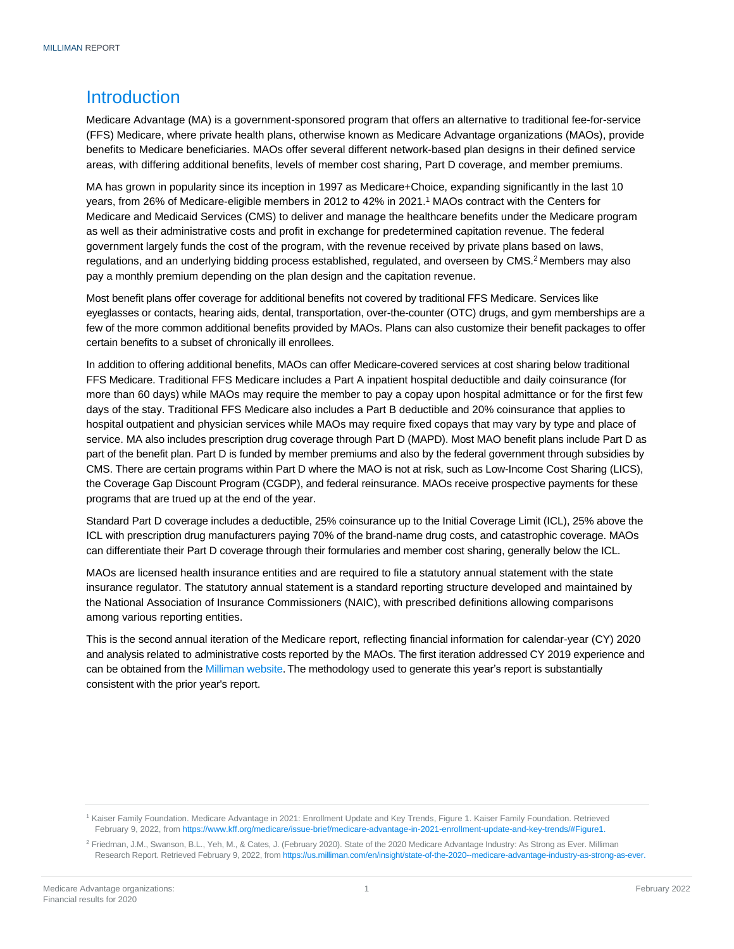### <span id="page-2-0"></span>**Introduction**

Medicare Advantage (MA) is a government-sponsored program that offers an alternative to traditional fee-for-service (FFS) Medicare, where private health plans, otherwise known as Medicare Advantage organizations (MAOs), provide benefits to Medicare beneficiaries. MAOs offer several different network-based plan designs in their defined service areas, with differing additional benefits, levels of member cost sharing, Part D coverage, and member premiums.

MA has grown in popularity since its inception in 1997 as Medicare+Choice, expanding significantly in the last 10 years, from 26% of Medicare-eligible members in 2012 to 42% in 2021. <sup>1</sup> MAOs contract with the Centers for Medicare and Medicaid Services (CMS) to deliver and manage the healthcare benefits under the Medicare program as well as their administrative costs and profit in exchange for predetermined capitation revenue. The federal government largely funds the cost of the program, with the revenue received by private plans based on laws, regulations, and an underlying bidding process established, regulated, and overseen by CMS. <sup>2</sup> Members may also pay a monthly premium depending on the plan design and the capitation revenue.

Most benefit plans offer coverage for additional benefits not covered by traditional FFS Medicare. Services like eyeglasses or contacts, hearing aids, dental, transportation, over-the-counter (OTC) drugs, and gym memberships are a few of the more common additional benefits provided by MAOs. Plans can also customize their benefit packages to offer certain benefits to a subset of chronically ill enrollees.

In addition to offering additional benefits, MAOs can offer Medicare-covered services at cost sharing below traditional FFS Medicare. Traditional FFS Medicare includes a Part A inpatient hospital deductible and daily coinsurance (for more than 60 days) while MAOs may require the member to pay a copay upon hospital admittance or for the first few days of the stay. Traditional FFS Medicare also includes a Part B deductible and 20% coinsurance that applies to hospital outpatient and physician services while MAOs may require fixed copays that may vary by type and place of service. MA also includes prescription drug coverage through Part D (MAPD). Most MAO benefit plans include Part D as part of the benefit plan. Part D is funded by member premiums and also by the federal government through subsidies by CMS. There are certain programs within Part D where the MAO is not at risk, such as Low-Income Cost Sharing (LICS), the Coverage Gap Discount Program (CGDP), and federal reinsurance. MAOs receive prospective payments for these programs that are trued up at the end of the year.

Standard Part D coverage includes a deductible, 25% coinsurance up to the Initial Coverage Limit (ICL), 25% above the ICL with prescription drug manufacturers paying 70% of the brand-name drug costs, and catastrophic coverage. MAOs can differentiate their Part D coverage through their formularies and member cost sharing, generally below the ICL.

MAOs are licensed health insurance entities and are required to file a statutory annual statement with the state insurance regulator. The statutory annual statement is a standard reporting structure developed and maintained by the National Association of Insurance Commissioners (NAIC), with prescribed definitions allowing comparisons among various reporting entities.

This is the second annual iteration of the Medicare report, reflecting financial information for calendar-year (CY) 2020 and analysis related to administrative costs reported by the MAOs. The first iteration addressed CY 2019 experience and can be obtained from th[e Milliman website.](https://www.milliman.com/en/insight/medicare-advantage-financial-results-for-2019-december-2020) The methodology used to generate this year's report is substantially consistent with the prior year's report.

<sup>1</sup> Kaiser Family Foundation. Medicare Advantage in 2021: Enrollment Update and Key Trends, Figure 1. Kaiser Family Foundation. Retrieved February 9, 2022, from [https://www.kff.org/medicare/issue-brief/medicare-advantage-in-2021-enrollment-update-and-key-trends/#Figure1.](https://www.kff.org/medicare/issue-brief/medicare-advantage-in-2021-enrollment-update-and-key-trends/#Figure1)

<sup>&</sup>lt;sup>2</sup> Friedman, J.M., Swanson, B.L., Yeh, M., & Cates, J. (February 2020). State of the 2020 Medicare Advantage Industry: As Strong as Ever. Milliman Research Report. Retrieved February 9, 2022, fro[m https://us.milliman.com/en/insight/state-of-the-2020--medicare-advantage-industry-as-strong-as-ever.](https://us.milliman.com/en/insight/state-of-the-2020--medicare-advantage-industry-as-strong-as-ever)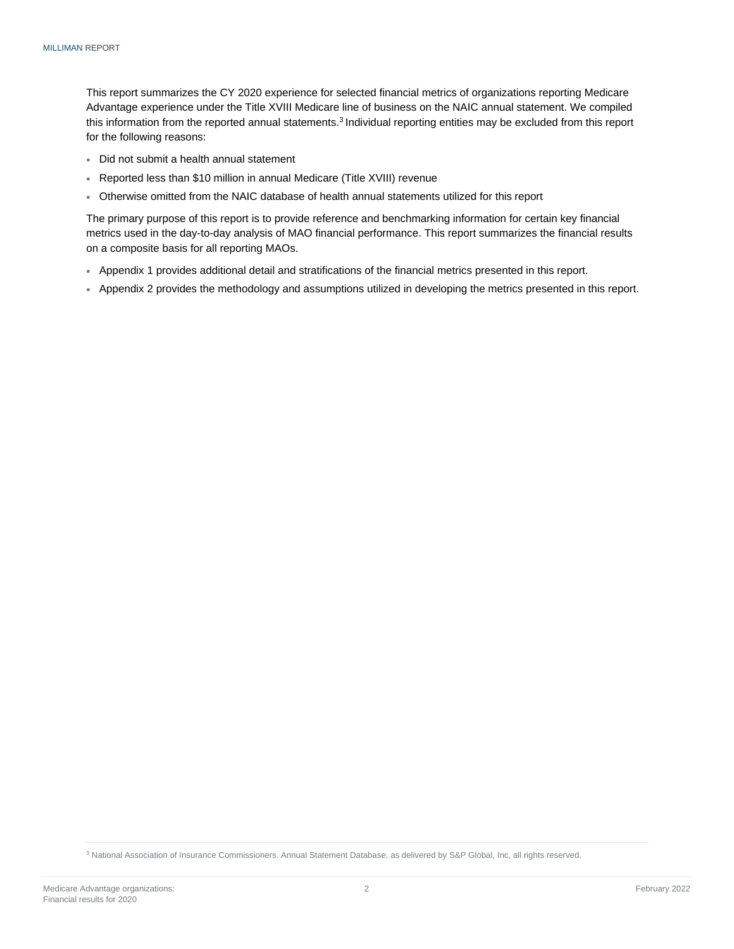This report summarizes the CY 2020 experience for selected financial metrics of organizations reporting Medicare Advantage experience under the Title XVIII Medicare line of business on the NAIC annual statement. We compiled this information from the reported annual statements.<sup>3</sup> Individual reporting entities may be excluded from this report for the following reasons:

- Did not submit a health annual statement
- Reported less than \$10 million in annual Medicare (Title XVIII) revenue
- Otherwise omitted from the NAIC database of health annual statements utilized for this report

The primary purpose of this report is to provide reference and benchmarking information for certain key financial metrics used in the day-to-day analysis of MAO financial performance. This report summarizes the financial results on a composite basis for all reporting MAOs.

- Appendix 1 provides additional detail and stratifications of the financial metrics presented in this report.
- <span id="page-3-0"></span>Appendix 2 provides the methodology and assumptions utilized in developing the metrics presented in this report.

<sup>3</sup> National Association of Insurance Commissioners. Annual Statement Database, as delivered by S&P Global, Inc, all rights reserved.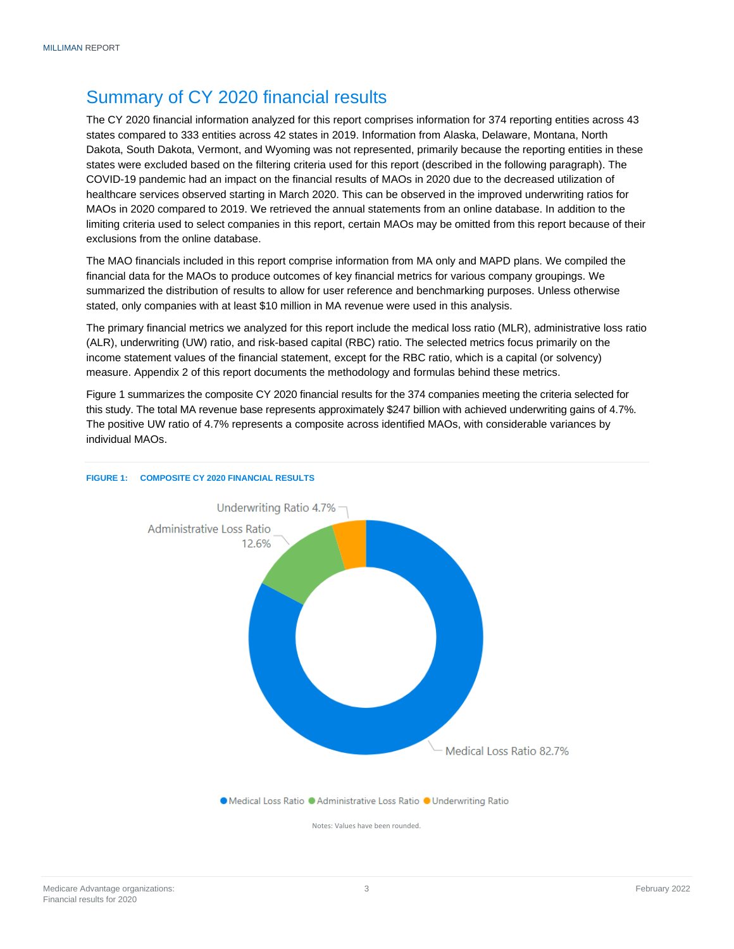### Summary of CY 2020 financial results

The CY 2020 financial information analyzed for this report comprises information for 374 reporting entities across 43 states compared to 333 entities across 42 states in 2019. Information from Alaska, Delaware, Montana, North Dakota, South Dakota, Vermont, and Wyoming was not represented, primarily because the reporting entities in these states were excluded based on the filtering criteria used for this report (described in the following paragraph). The COVID-19 pandemic had an impact on the financial results of MAOs in 2020 due to the decreased utilization of healthcare services observed starting in March 2020. This can be observed in the improved underwriting ratios for MAOs in 2020 compared to 2019. We retrieved the annual statements from an online database. In addition to the limiting criteria used to select companies in this report, certain MAOs may be omitted from this report because of their exclusions from the online database.

The MAO financials included in this report comprise information from MA only and MAPD plans. We compiled the financial data for the MAOs to produce outcomes of key financial metrics for various company groupings. We summarized the distribution of results to allow for user reference and benchmarking purposes. Unless otherwise stated, only companies with at least \$10 million in MA revenue were used in this analysis.

The primary financial metrics we analyzed for this report include the medical loss ratio (MLR), administrative loss ratio (ALR), underwriting (UW) ratio, and risk-based capital (RBC) ratio. The selected metrics focus primarily on the income statement values of the financial statement, except for the RBC ratio, which is a capital (or solvency) measure. Appendix 2 of this report documents the methodology and formulas behind these metrics.

Figure 1 summarizes the composite CY 2020 financial results for the 374 companies meeting the criteria selected for this study. The total MA revenue base represents approximately \$247 billion with achieved underwriting gains of 4.7%. The positive UW ratio of 4.7% represents a composite across identified MAOs, with considerable variances by individual MAOs.



#### **FIGURE 1: COMPOSITE CY 2020 FINANCIAL RESULTS**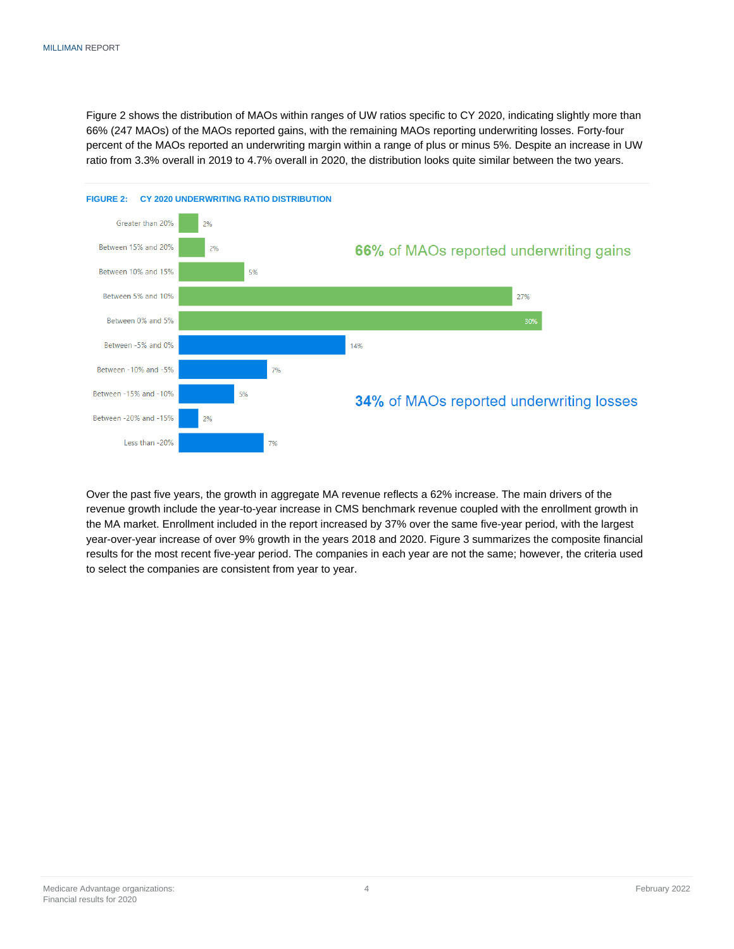Figure 2 shows the distribution of MAOs within ranges of UW ratios specific to CY 2020, indicating slightly more than 66% (247 MAOs) of the MAOs reported gains, with the remaining MAOs reporting underwriting losses. Forty-four percent of the MAOs reported an underwriting margin within a range of plus or minus 5%. Despite an increase in UW ratio from 3.3% overall in 2019 to 4.7% overall in 2020, the distribution looks quite similar between the two years.



Over the past five years, the growth in aggregate MA revenue reflects a 62% increase. The main drivers of the revenue growth include the year-to-year increase in CMS benchmark revenue coupled with the enrollment growth in the MA market. Enrollment included in the report increased by 37% over the same five-year period, with the largest year-over-year increase of over 9% growth in the years 2018 and 2020. Figure 3 summarizes the composite financial results for the most recent five-year period. The companies in each year are not the same; however, the criteria used to select the companies are consistent from year to year.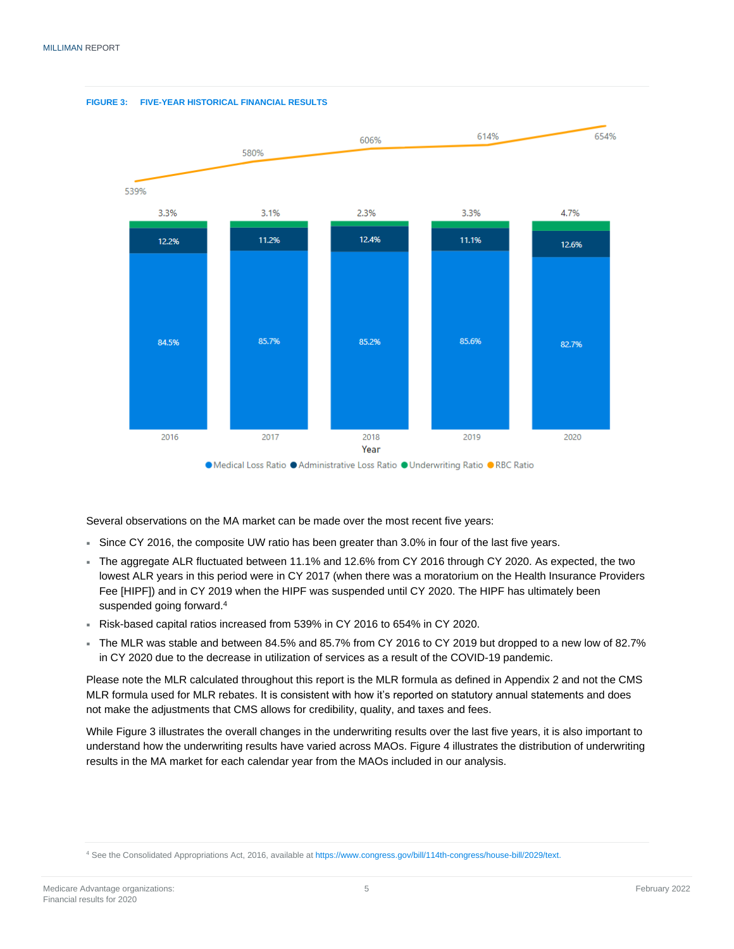

Several observations on the MA market can be made over the most recent five years:

- Since CY 2016, the composite UW ratio has been greater than 3.0% in four of the last five years.
- The aggregate ALR fluctuated between 11.1% and 12.6% from CY 2016 through CY 2020. As expected, the two lowest ALR years in this period were in CY 2017 (when there was a moratorium on the Health Insurance Providers Fee [HIPF]) and in CY 2019 when the HIPF was suspended until CY 2020. The HIPF has ultimately been suspended going forward.<sup>4</sup>
- Risk-based capital ratios increased from 539% in CY 2016 to 654% in CY 2020.
- The MLR was stable and between 84.5% and 85.7% from CY 2016 to CY 2019 but dropped to a new low of 82.7% in CY 2020 due to the decrease in utilization of services as a result of the COVID-19 pandemic.

Please note the MLR calculated throughout this report is the MLR formula as defined in Appendix 2 and not the CMS MLR formula used for MLR rebates. It is consistent with how it's reported on statutory annual statements and does not make the adjustments that CMS allows for credibility, quality, and taxes and fees.

While Figure 3 illustrates the overall changes in the underwriting results over the last five years, it is also important to understand how the underwriting results have varied across MAOs. Figure 4 illustrates the distribution of underwriting results in the MA market for each calendar year from the MAOs included in our analysis.

<sup>4</sup> See the Consolidated Appropriations Act, 2016, available at [https://www.congress.gov/bill/114th-congress/house-bill/2029/text.](https://www.congress.gov/bill/114th-congress/house-bill/2029/text)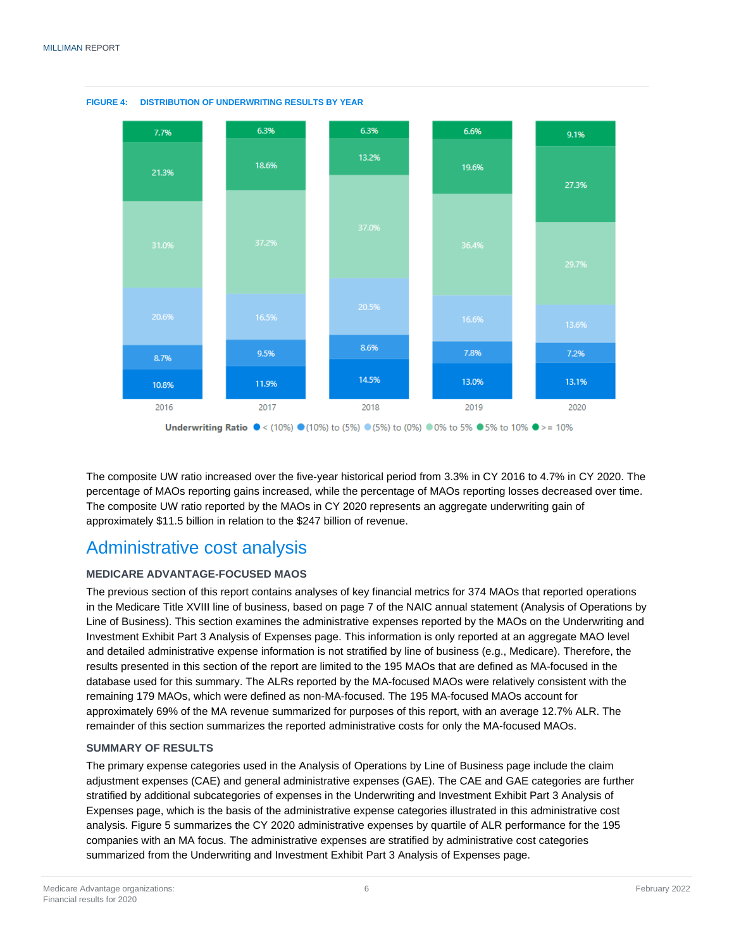

**FIGURE 4: DISTRIBUTION OF UNDERWRITING RESULTS BY YEAR**

The composite UW ratio increased over the five-year historical period from 3.3% in CY 2016 to 4.7% in CY 2020. The percentage of MAOs reporting gains increased, while the percentage of MAOs reporting losses decreased over time. The composite UW ratio reported by the MAOs in CY 2020 represents an aggregate underwriting gain of approximately \$11.5 billion in relation to the \$247 billion of revenue.

### <span id="page-7-0"></span>Administrative cost analysis

#### **MEDICARE ADVANTAGE-FOCUSED MAOS**

The previous section of this report contains analyses of key financial metrics for 374 MAOs that reported operations in the Medicare Title XVIII line of business, based on page 7 of the NAIC annual statement (Analysis of Operations by Line of Business). This section examines the administrative expenses reported by the MAOs on the Underwriting and Investment Exhibit Part 3 Analysis of Expenses page. This information is only reported at an aggregate MAO level and detailed administrative expense information is not stratified by line of business (e.g., Medicare). Therefore, the results presented in this section of the report are limited to the 195 MAOs that are defined as MA-focused in the database used for this summary. The ALRs reported by the MA-focused MAOs were relatively consistent with the remaining 179 MAOs, which were defined as non-MA-focused. The 195 MA-focused MAOs account for approximately 69% of the MA revenue summarized for purposes of this report, with an average 12.7% ALR. The remainder of this section summarizes the reported administrative costs for only the MA-focused MAOs.

#### **SUMMARY OF RESULTS**

The primary expense categories used in the Analysis of Operations by Line of Business page include the claim adjustment expenses (CAE) and general administrative expenses (GAE). The CAE and GAE categories are further stratified by additional subcategories of expenses in the Underwriting and Investment Exhibit Part 3 Analysis of Expenses page, which is the basis of the administrative expense categories illustrated in this administrative cost analysis. Figure 5 summarizes the CY 2020 administrative expenses by quartile of ALR performance for the 195 companies with an MA focus. The administrative expenses are stratified by administrative cost categories summarized from the Underwriting and Investment Exhibit Part 3 Analysis of Expenses page.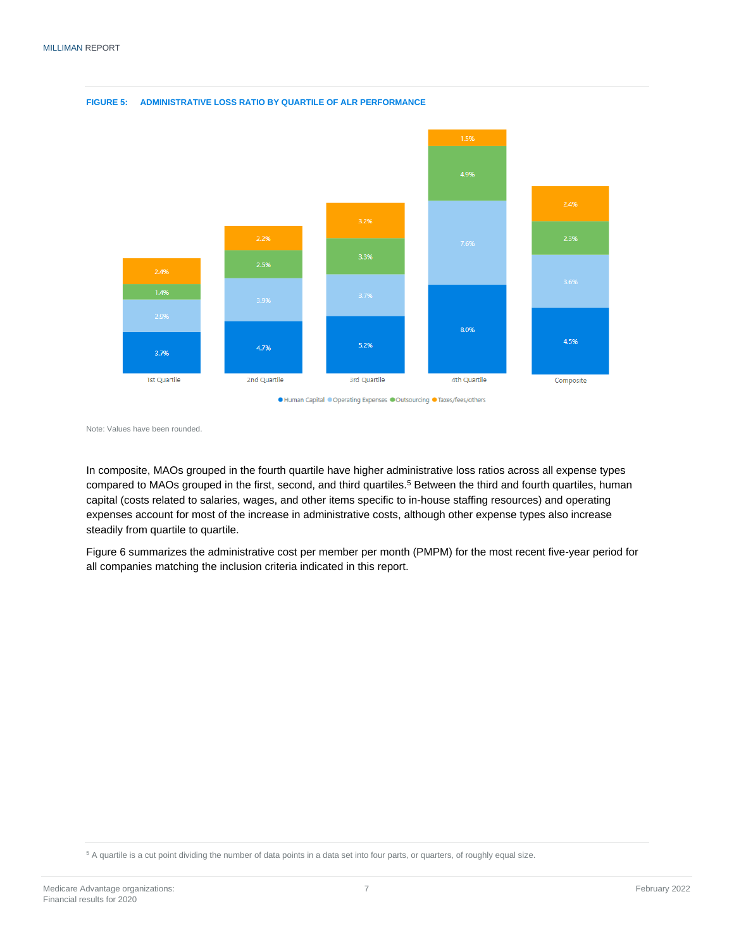

**FIGURE 5: ADMINISTRATIVE LOSS RATIO BY QUARTILE OF ALR PERFORMANCE**

● Human Capital ● Operating Expenses ● Outsourcing ● Taxes/fees/others

Note: Values have been rounded.

In composite, MAOs grouped in the fourth quartile have higher administrative loss ratios across all expense types compared to MAOs grouped in the first, second, and third quartiles. <sup>5</sup> Between the third and fourth quartiles, human capital (costs related to salaries, wages, and other items specific to in-house staffing resources) and operating expenses account for most of the increase in administrative costs, although other expense types also increase steadily from quartile to quartile.

Figure 6 summarizes the administrative cost per member per month (PMPM) for the most recent five-year period for all companies matching the inclusion criteria indicated in this report.

<sup>5</sup> A quartile is a cut point dividing the number of data points in a data set into four parts, or quarters, of roughly equal size.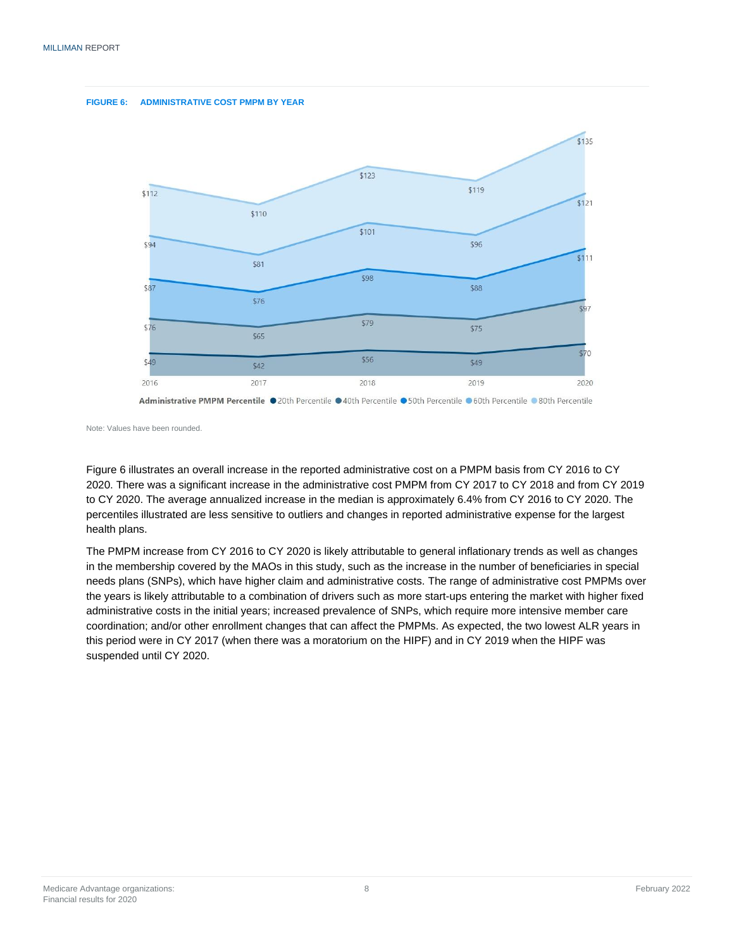



Note: Values have been rounded.

Figure 6 illustrates an overall increase in the reported administrative cost on a PMPM basis from CY 2016 to CY 2020. There was a significant increase in the administrative cost PMPM from CY 2017 to CY 2018 and from CY 2019 to CY 2020. The average annualized increase in the median is approximately 6.4% from CY 2016 to CY 2020. The percentiles illustrated are less sensitive to outliers and changes in reported administrative expense for the largest health plans.

<span id="page-9-0"></span>The PMPM increase from CY 2016 to CY 2020 is likely attributable to general inflationary trends as well as changes in the membership covered by the MAOs in this study, such as the increase in the number of beneficiaries in special needs plans (SNPs), which have higher claim and administrative costs. The range of administrative cost PMPMs over the years is likely attributable to a combination of drivers such as more start-ups entering the market with higher fixed administrative costs in the initial years; increased prevalence of SNPs, which require more intensive member care coordination; and/or other enrollment changes that can affect the PMPMs. As expected, the two lowest ALR years in this period were in CY 2017 (when there was a moratorium on the HIPF) and in CY 2019 when the HIPF was suspended until CY 2020.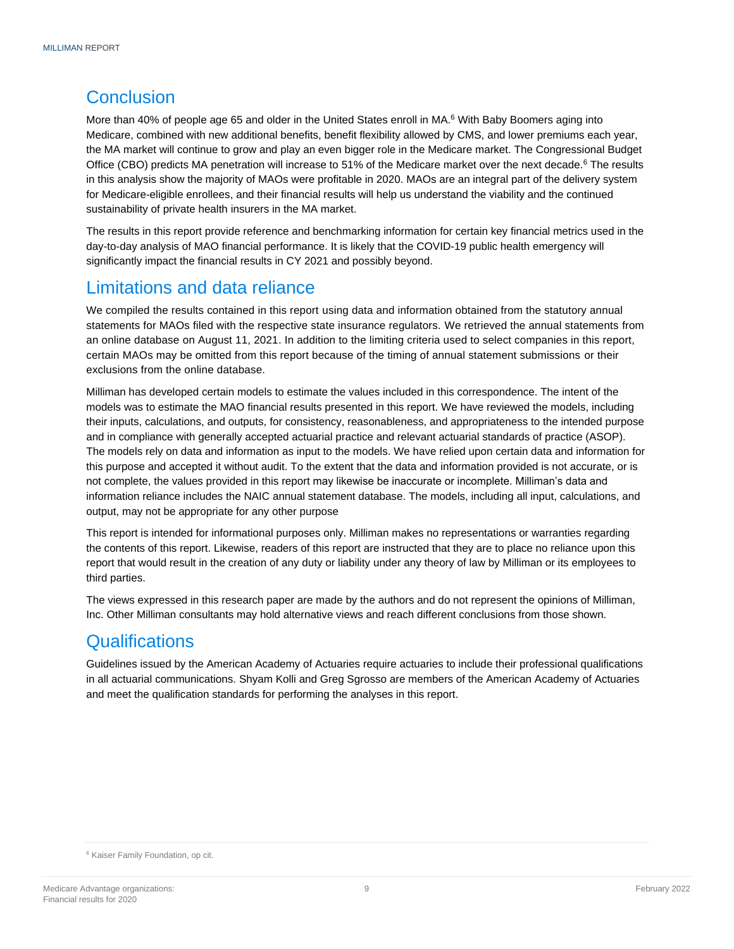### **Conclusion**

More than 40% of people age 65 and older in the United States enroll in MA.<sup>6</sup> With Baby Boomers aging into Medicare, combined with new additional benefits, benefit flexibility allowed by CMS, and lower premiums each year, the MA market will continue to grow and play an even bigger role in the Medicare market. The Congressional Budget Office (CBO) predicts MA penetration will increase to 51% of the Medicare market over the next decade.<sup>6</sup> The results in this analysis show the majority of MAOs were profitable in 2020. MAOs are an integral part of the delivery system for Medicare-eligible enrollees, and their financial results will help us understand the viability and the continued sustainability of private health insurers in the MA market.

The results in this report provide reference and benchmarking information for certain key financial metrics used in the day-to-day analysis of MAO financial performance. It is likely that the COVID-19 public health emergency will significantly impact the financial results in CY 2021 and possibly beyond.

### <span id="page-10-0"></span>Limitations and data reliance

We compiled the results contained in this report using data and information obtained from the statutory annual statements for MAOs filed with the respective state insurance regulators. We retrieved the annual statements from an online database on August 11, 2021. In addition to the limiting criteria used to select companies in this report, certain MAOs may be omitted from this report because of the timing of annual statement submissions or their exclusions from the online database.

Milliman has developed certain models to estimate the values included in this correspondence. The intent of the models was to estimate the MAO financial results presented in this report. We have reviewed the models, including their inputs, calculations, and outputs, for consistency, reasonableness, and appropriateness to the intended purpose and in compliance with generally accepted actuarial practice and relevant actuarial standards of practice (ASOP). The models rely on data and information as input to the models. We have relied upon certain data and information for this purpose and accepted it without audit. To the extent that the data and information provided is not accurate, or is not complete, the values provided in this report may likewise be inaccurate or incomplete. Milliman's data and information reliance includes the NAIC annual statement database. The models, including all input, calculations, and output, may not be appropriate for any other purpose

This report is intended for informational purposes only. Milliman makes no representations or warranties regarding the contents of this report. Likewise, readers of this report are instructed that they are to place no reliance upon this report that would result in the creation of any duty or liability under any theory of law by Milliman or its employees to third parties.

The views expressed in this research paper are made by the authors and do not represent the opinions of Milliman, Inc. Other Milliman consultants may hold alternative views and reach different conclusions from those shown.

### <span id="page-10-1"></span>**Qualifications**

Guidelines issued by the American Academy of Actuaries require actuaries to include their professional qualifications in all actuarial communications. Shyam Kolli and Greg Sgrosso are members of the American Academy of Actuaries and meet the qualification standards for performing the analyses in this report.

<sup>6</sup> Kaiser Family Foundation, op cit.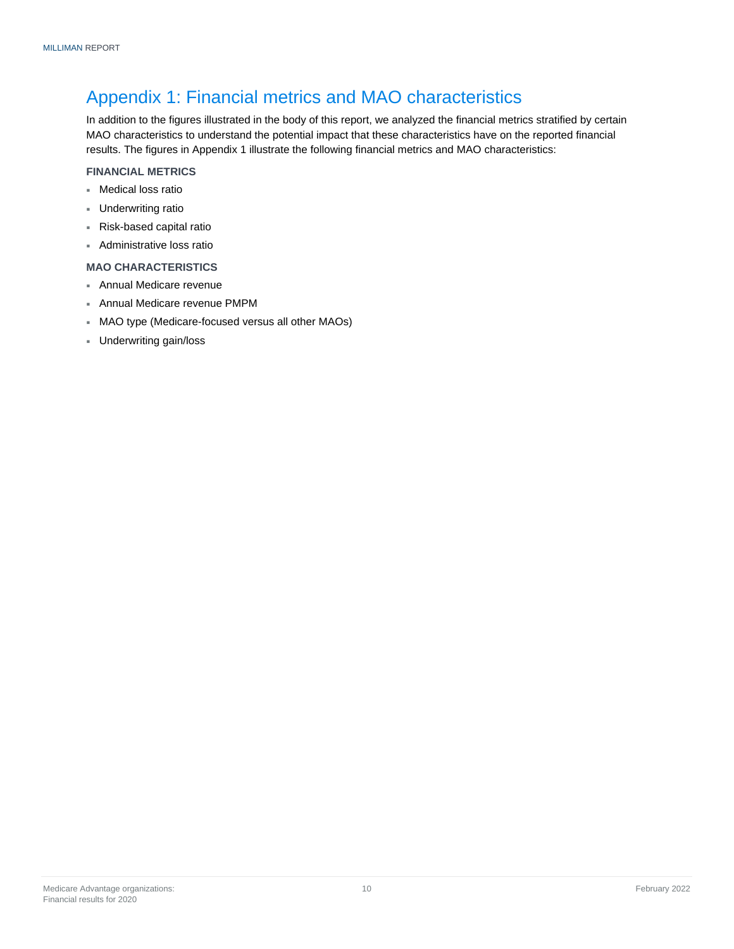### <span id="page-11-0"></span>Appendix 1: Financial metrics and MAO characteristics

In addition to the figures illustrated in the body of this report, we analyzed the financial metrics stratified by certain MAO characteristics to understand the potential impact that these characteristics have on the reported financial results. The figures in Appendix 1 illustrate the following financial metrics and MAO characteristics:

#### **FINANCIAL METRICS**

- Medical loss ratio
- Underwriting ratio
- Risk-based capital ratio
- Administrative loss ratio

#### **MAO CHARACTERISTICS**

- Annual Medicare revenue
- Annual Medicare revenue PMPM
- MAO type (Medicare-focused versus all other MAOs)
- Underwriting gain/loss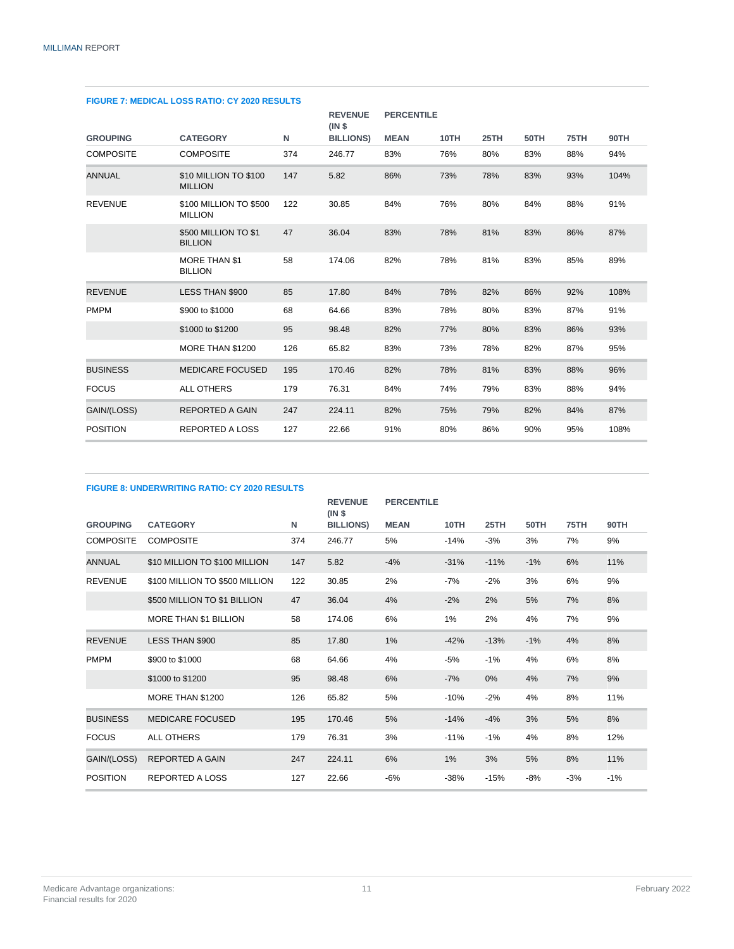| <b>FIGURE 7: MEDICAL LOSS RATIO: CY 2020 RESULTS</b> |                                          |     |                         |                   |      |      |      |      |             |
|------------------------------------------------------|------------------------------------------|-----|-------------------------|-------------------|------|------|------|------|-------------|
|                                                      |                                          |     | <b>REVENUE</b><br>(INS) | <b>PERCENTILE</b> |      |      |      |      |             |
| <b>GROUPING</b>                                      | <b>CATEGORY</b>                          | N   | <b>BILLIONS)</b>        | <b>MEAN</b>       | 10TH | 25TH | 50TH | 75TH | <b>90TH</b> |
| <b>COMPOSITE</b>                                     | <b>COMPOSITE</b>                         | 374 | 246.77                  | 83%               | 76%  | 80%  | 83%  | 88%  | 94%         |
| <b>ANNUAL</b>                                        | \$10 MILLION TO \$100<br><b>MILLION</b>  | 147 | 5.82                    | 86%               | 73%  | 78%  | 83%  | 93%  | 104%        |
| <b>REVENUE</b>                                       | \$100 MILLION TO \$500<br><b>MILLION</b> | 122 | 30.85                   | 84%               | 76%  | 80%  | 84%  | 88%  | 91%         |
|                                                      | \$500 MILLION TO \$1<br><b>BILLION</b>   | 47  | 36.04                   | 83%               | 78%  | 81%  | 83%  | 86%  | 87%         |
|                                                      | <b>MORE THAN \$1</b><br><b>BILLION</b>   | 58  | 174.06                  | 82%               | 78%  | 81%  | 83%  | 85%  | 89%         |
| <b>REVENUE</b>                                       | <b>LESS THAN \$900</b>                   | 85  | 17.80                   | 84%               | 78%  | 82%  | 86%  | 92%  | 108%        |
| <b>PMPM</b>                                          | \$900 to \$1000                          | 68  | 64.66                   | 83%               | 78%  | 80%  | 83%  | 87%  | 91%         |
|                                                      | \$1000 to \$1200                         | 95  | 98.48                   | 82%               | 77%  | 80%  | 83%  | 86%  | 93%         |
|                                                      | MORE THAN \$1200                         | 126 | 65.82                   | 83%               | 73%  | 78%  | 82%  | 87%  | 95%         |
| <b>BUSINESS</b>                                      | <b>MEDICARE FOCUSED</b>                  | 195 | 170.46                  | 82%               | 78%  | 81%  | 83%  | 88%  | 96%         |
| <b>FOCUS</b>                                         | <b>ALL OTHERS</b>                        | 179 | 76.31                   | 84%               | 74%  | 79%  | 83%  | 88%  | 94%         |
| GAIN/(LOSS)                                          | <b>REPORTED A GAIN</b>                   | 247 | 224.11                  | 82%               | 75%  | 79%  | 82%  | 84%  | 87%         |
| <b>POSITION</b>                                      | <b>REPORTED A LOSS</b>                   | 127 | 22.66                   | 91%               | 80%  | 86%  | 90%  | 95%  | 108%        |

#### **FIGURE 7: MEDICAL LOSS RATIO: CY 2020 RESULTS**

#### **FIGURE 8: UNDERWRITING RATIO: CY 2020 RESULTS GROUPING CATEGORY N REVENUE (IN \$ BILLIONS) PERCENTILE MEAN 10TH 25TH 50TH 75TH 90TH** COMPOSITE COMPOSITE 374 246.77 5% -14% -3% 3% 7% 9% ANNUAL \$10 MILLION TO \$100 MILLION 147 5.82 -4% -31% -11% -1% 6% 11% REVENUE \$100 MILLION TO \$500 MILLION 122 30.85 2% -7% -2% 3% 6% 9% \$500 MILLION TO \$1 BILLION 47 36.04 4% -2% 2% 5% 7% 8% MORE THAN \$1 BILLION 58 174.06 6% 1% 2% 4% 7% 9% REVENUE LESS THAN \$900 85 17.80 1% -42% -13% -1% 4% 8% PMPM \$900 to \$1000 68 64.66 4% -5% -1% 4% 6% 8% \$1000 to \$1200 95 98.48 6% -7% 0% 4% 7% 9% MORE THAN \$1200 126 65.82 5% -10% -2% 4% 8% 11% BUSINESS MEDICARE FOCUSED 195 170.46 5% -14% -4% 3% 5% 8% FOCUS ALL OTHERS 179 76.31 3% -11% -1% 4% 8% 12% GAIN/(LOSS) REPORTED A GAIN  $247$  224.11 6% 1% 3% 5% 8% 11% POSITION REPORTED A LOSS 127 22.66 -6% -38% -15% -8% -3% -1%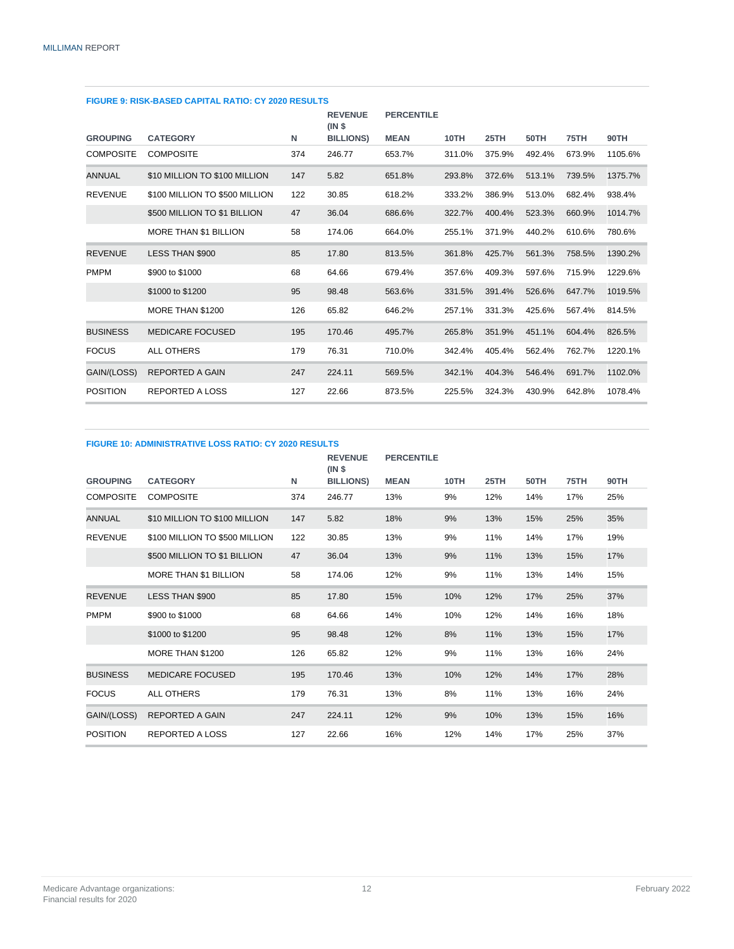| FIGURE 9: RISK-BASED CAPITAL RATIO: CY 2020 RESULTS |     |                         |                   |        |        |        |        |         |
|-----------------------------------------------------|-----|-------------------------|-------------------|--------|--------|--------|--------|---------|
|                                                     |     | <b>REVENUE</b><br>(INS) | <b>PERCENTILE</b> |        |        |        |        |         |
| <b>CATEGORY</b>                                     | N   | <b>BILLIONS</b> )       | <b>MEAN</b>       | 10TH   | 25TH   | 50TH   | 75TH   | 90TH    |
| <b>COMPOSITE</b>                                    | 374 | 246.77                  | 653.7%            | 311.0% | 375.9% | 492.4% | 673.9% | 1105.6% |
| \$10 MILLION TO \$100 MILLION                       | 147 | 5.82                    | 651.8%            | 293.8% | 372.6% | 513.1% | 739.5% | 1375.7% |
| \$100 MILLION TO \$500 MILLION                      | 122 | 30.85                   | 618.2%            | 333.2% | 386.9% | 513.0% | 682.4% | 938.4%  |
| \$500 MILLION TO \$1 BILLION                        | 47  | 36.04                   | 686.6%            | 322.7% | 400.4% | 523.3% | 660.9% | 1014.7% |
| MORE THAN \$1 BILLION                               | 58  | 174.06                  | 664.0%            | 255.1% | 371.9% | 440.2% | 610.6% | 780.6%  |
| LESS THAN \$900                                     | 85  | 17.80                   | 813.5%            | 361.8% | 425.7% | 561.3% | 758.5% | 1390.2% |
| \$900 to \$1000                                     | 68  | 64.66                   | 679.4%            | 357.6% | 409.3% | 597.6% | 715.9% | 1229.6% |
| \$1000 to \$1200                                    | 95  | 98.48                   | 563.6%            | 331.5% | 391.4% | 526.6% | 647.7% | 1019.5% |
| MORE THAN \$1200                                    | 126 | 65.82                   | 646.2%            | 257.1% | 331.3% | 425.6% | 567.4% | 814.5%  |
| <b>MEDICARE FOCUSED</b>                             | 195 | 170.46                  | 495.7%            | 265.8% | 351.9% | 451.1% | 604.4% | 826.5%  |
| <b>ALL OTHERS</b>                                   | 179 | 76.31                   | 710.0%            | 342.4% | 405.4% | 562.4% | 762.7% | 1220.1% |
| <b>REPORTED A GAIN</b>                              | 247 | 224.11                  | 569.5%            | 342.1% | 404.3% | 546.4% | 691.7% | 1102.0% |
| <b>REPORTED A LOSS</b>                              | 127 | 22.66                   | 873.5%            | 225.5% | 324.3% | 430.9% | 642.8% | 1078.4% |
|                                                     |     |                         |                   |        |        |        |        |         |

#### **FIGURE 9: RISK-BASED CAPITAL RATIO: CY 2020 RESULTS**

#### **FIGURE 10: ADMINISTRATIVE LOSS RATIO: CY 2020 RESULTS**

|                  |                                |     | <b>REVENUE</b><br>(INS) | <b>PERCENTILE</b> |      |      |      |      |      |
|------------------|--------------------------------|-----|-------------------------|-------------------|------|------|------|------|------|
| <b>GROUPING</b>  | <b>CATEGORY</b>                | N   | <b>BILLIONS</b> )       | <b>MEAN</b>       | 10TH | 25TH | 50TH | 75TH | 90TH |
| <b>COMPOSITE</b> | <b>COMPOSITE</b>               | 374 | 246.77                  | 13%               | 9%   | 12%  | 14%  | 17%  | 25%  |
| <b>ANNUAL</b>    | \$10 MILLION TO \$100 MILLION  | 147 | 5.82                    | 18%               | 9%   | 13%  | 15%  | 25%  | 35%  |
| <b>REVENUE</b>   | \$100 MILLION TO \$500 MILLION | 122 | 30.85                   | 13%               | 9%   | 11%  | 14%  | 17%  | 19%  |
|                  | \$500 MILLION TO \$1 BILLION   | 47  | 36.04                   | 13%               | 9%   | 11%  | 13%  | 15%  | 17%  |
|                  | MORE THAN \$1 BILLION          | 58  | 174.06                  | 12%               | 9%   | 11%  | 13%  | 14%  | 15%  |
| <b>REVENUE</b>   | LESS THAN \$900                | 85  | 17.80                   | 15%               | 10%  | 12%  | 17%  | 25%  | 37%  |
| <b>PMPM</b>      | \$900 to \$1000                | 68  | 64.66                   | 14%               | 10%  | 12%  | 14%  | 16%  | 18%  |
|                  | \$1000 to \$1200               | 95  | 98.48                   | 12%               | 8%   | 11%  | 13%  | 15%  | 17%  |
|                  | MORE THAN \$1200               | 126 | 65.82                   | 12%               | 9%   | 11%  | 13%  | 16%  | 24%  |
| <b>BUSINESS</b>  | <b>MEDICARE FOCUSED</b>        | 195 | 170.46                  | 13%               | 10%  | 12%  | 14%  | 17%  | 28%  |
| <b>FOCUS</b>     | <b>ALL OTHERS</b>              | 179 | 76.31                   | 13%               | 8%   | 11%  | 13%  | 16%  | 24%  |
| GAIN/(LOSS)      | <b>REPORTED A GAIN</b>         | 247 | 224.11                  | 12%               | 9%   | 10%  | 13%  | 15%  | 16%  |
| <b>POSITION</b>  | <b>REPORTED A LOSS</b>         | 127 | 22.66                   | 16%               | 12%  | 14%  | 17%  | 25%  | 37%  |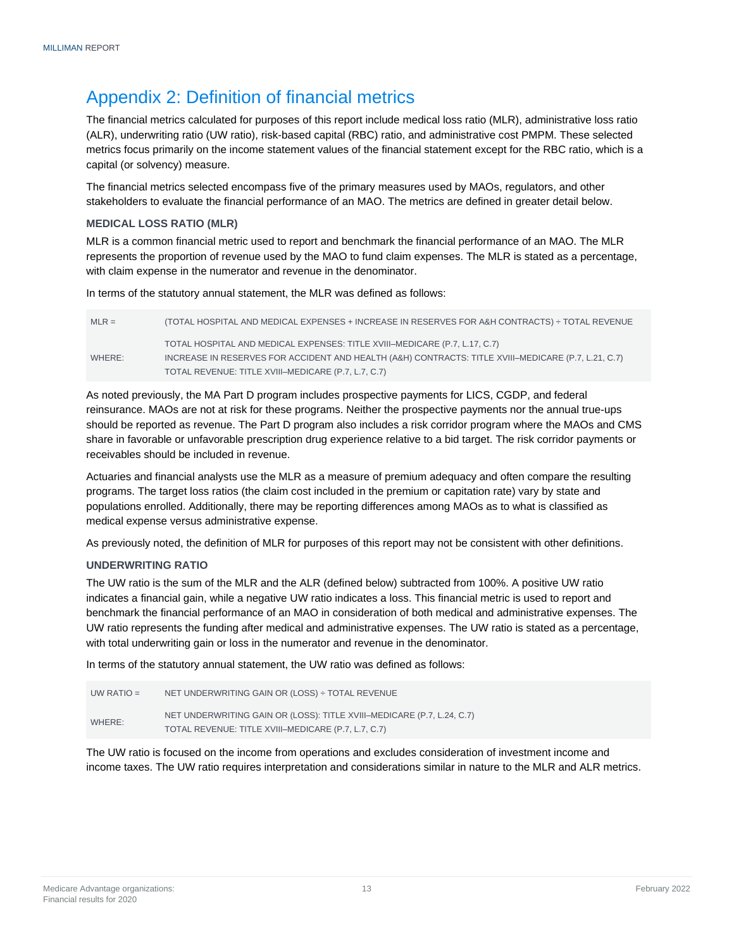### <span id="page-14-0"></span>Appendix 2: Definition of financial metrics

The financial metrics calculated for purposes of this report include medical loss ratio (MLR), administrative loss ratio (ALR), underwriting ratio (UW ratio), risk-based capital (RBC) ratio, and administrative cost PMPM. These selected metrics focus primarily on the income statement values of the financial statement except for the RBC ratio, which is a capital (or solvency) measure.

The financial metrics selected encompass five of the primary measures used by MAOs, regulators, and other stakeholders to evaluate the financial performance of an MAO. The metrics are defined in greater detail below.

#### **MEDICAL LOSS RATIO (MLR)**

MLR is a common financial metric used to report and benchmark the financial performance of an MAO. The MLR represents the proportion of revenue used by the MAO to fund claim expenses. The MLR is stated as a percentage, with claim expense in the numerator and revenue in the denominator.

In terms of the statutory annual statement, the MLR was defined as follows:

| $MLR =$ | (TOTAL HOSPITAL AND MEDICAL EXPENSES + INCREASE IN RESERVES FOR A&H CONTRACTS) ÷ TOTAL REVENUE      |
|---------|-----------------------------------------------------------------------------------------------------|
|         | TOTAL HOSPITAL AND MEDICAL EXPENSES: TITLE XVIII-MEDICARE (P.7. L.17. C.7)                          |
| WHERE:  | INCREASE IN RESERVES FOR ACCIDENT AND HEALTH (A&H) CONTRACTS: TITLE XVIII-MEDICARE (P.7, L.21, C.7) |
|         | TOTAL REVENUE: TITLE XVIII-MEDICARE (P.7, L.7, C.7)                                                 |

As noted previously, the MA Part D program includes prospective payments for LICS, CGDP, and federal reinsurance. MAOs are not at risk for these programs. Neither the prospective payments nor the annual true-ups should be reported as revenue. The Part D program also includes a risk corridor program where the MAOs and CMS share in favorable or unfavorable prescription drug experience relative to a bid target. The risk corridor payments or receivables should be included in revenue.

Actuaries and financial analysts use the MLR as a measure of premium adequacy and often compare the resulting programs. The target loss ratios (the claim cost included in the premium or capitation rate) vary by state and populations enrolled. Additionally, there may be reporting differences among MAOs as to what is classified as medical expense versus administrative expense.

As previously noted, the definition of MLR for purposes of this report may not be consistent with other definitions.

#### **UNDERWRITING RATIO**

The UW ratio is the sum of the MLR and the ALR (defined below) subtracted from 100%. A positive UW ratio indicates a financial gain, while a negative UW ratio indicates a loss. This financial metric is used to report and benchmark the financial performance of an MAO in consideration of both medical and administrative expenses. The UW ratio represents the funding after medical and administrative expenses. The UW ratio is stated as a percentage, with total underwriting gain or loss in the numerator and revenue in the denominator.

In terms of the statutory annual statement, the UW ratio was defined as follows:

| UW RATIO $=$ | NET UNDERWRITING GAIN OR (LOSS) ÷ TOTAL REVENUE                                                                               |
|--------------|-------------------------------------------------------------------------------------------------------------------------------|
| WHERE:       | NET UNDERWRITING GAIN OR (LOSS): TITLE XVIII-MEDICARE (P.7, L.24, C.7)<br>TOTAL REVENUE: TITLE XVIII-MEDICARE (P.7, L.7, C.7) |

The UW ratio is focused on the income from operations and excludes consideration of investment income and income taxes. The UW ratio requires interpretation and considerations similar in nature to the MLR and ALR metrics.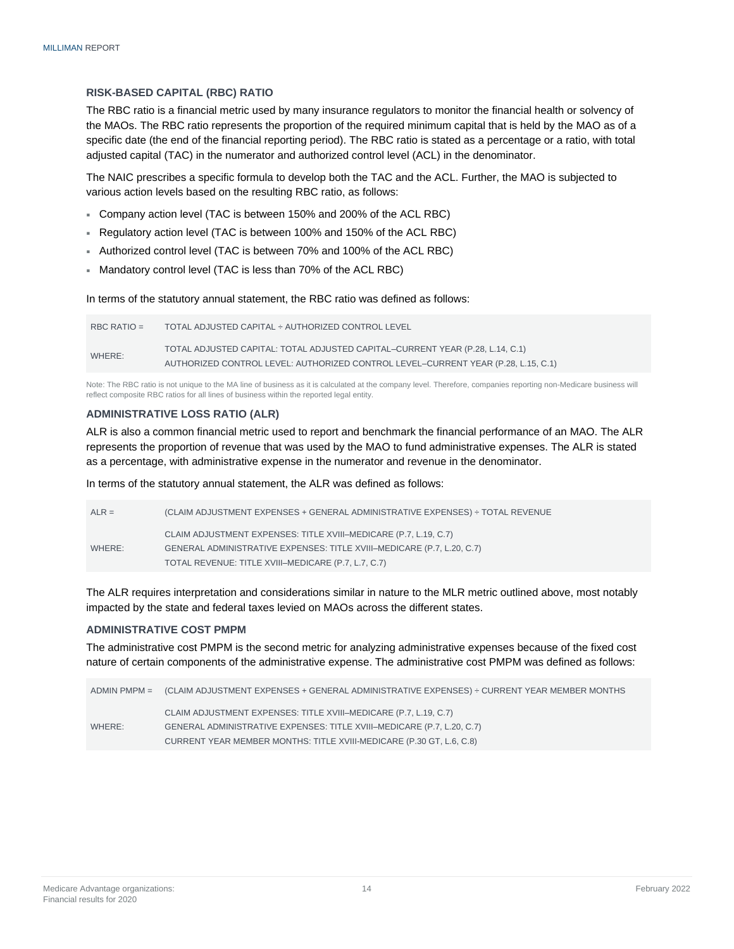#### **RISK-BASED CAPITAL (RBC) RATIO**

The RBC ratio is a financial metric used by many insurance regulators to monitor the financial health or solvency of the MAOs. The RBC ratio represents the proportion of the required minimum capital that is held by the MAO as of a specific date (the end of the financial reporting period). The RBC ratio is stated as a percentage or a ratio, with total adjusted capital (TAC) in the numerator and authorized control level (ACL) in the denominator.

The NAIC prescribes a specific formula to develop both the TAC and the ACL. Further, the MAO is subjected to various action levels based on the resulting RBC ratio, as follows:

- Company action level (TAC is between 150% and 200% of the ACL RBC)
- Regulatory action level (TAC is between 100% and 150% of the ACL RBC)
- Authorized control level (TAC is between 70% and 100% of the ACL RBC)
- Mandatory control level (TAC is less than 70% of the ACL RBC)

In terms of the statutory annual statement, the RBC ratio was defined as follows:

| RBC RATIO $=$ | TOTAL ADJUSTED CAPITAL ÷ AUTHORIZED CONTROL LEVEL                                 |
|---------------|-----------------------------------------------------------------------------------|
| WHERE:        | TOTAL ADJUSTED CAPITAL: TOTAL ADJUSTED CAPITAL-CURRENT YEAR (P.28, L.14, C.1)     |
|               | AUTHORIZED CONTROL LEVEL: AUTHORIZED CONTROL LEVEL-CURRENT YEAR (P.28, L.15, C.1) |

Note: The RBC ratio is not unique to the MA line of business as it is calculated at the company level. Therefore, companies reporting non-Medicare business will reflect composite RBC ratios for all lines of business within the reported legal entity.

#### **ADMINISTRATIVE LOSS RATIO (ALR)**

ALR is also a common financial metric used to report and benchmark the financial performance of an MAO. The ALR represents the proportion of revenue that was used by the MAO to fund administrative expenses. The ALR is stated as a percentage, with administrative expense in the numerator and revenue in the denominator.

In terms of the statutory annual statement, the ALR was defined as follows:

| $ALR =$ | (CLAIM ADJUSTMENT EXPENSES + GENERAL ADMINISTRATIVE EXPENSES) ÷ TOTAL REVENUE |
|---------|-------------------------------------------------------------------------------|
|         | CLAIM ADJUSTMENT EXPENSES: TITLE XVIII-MEDICARE (P.7, L.19, C.7)              |
| WHERE:  | GENERAL ADMINISTRATIVE EXPENSES: TITLE XVIII-MEDICARE (P.7, L.20, C.7)        |
|         | TOTAL REVENUE: TITLE XVIII-MEDICARE (P.7, L.7, C.7)                           |

The ALR requires interpretation and considerations similar in nature to the MLR metric outlined above, most notably impacted by the state and federal taxes levied on MAOs across the different states.

#### **ADMINISTRATIVE COST PMPM**

The administrative cost PMPM is the second metric for analyzing administrative expenses because of the fixed cost nature of certain components of the administrative expense. The administrative cost PMPM was defined as follows:

|        | ADMIN PMPM = (CLAIM ADJUSTMENT EXPENSES + GENERAL ADMINISTRATIVE EXPENSES) ÷ CURRENT YEAR MEMBER MONTHS |
|--------|---------------------------------------------------------------------------------------------------------|
|        | CLAIM ADJUSTMENT EXPENSES: TITLE XVIII-MEDICARE (P.7, L.19, C.7)                                        |
| WHERE: | GENERAL ADMINISTRATIVE EXPENSES: TITLE XVIII-MEDICARE (P.7, L.20, C.7)                                  |
|        | CURRENT YEAR MEMBER MONTHS: TITLE XVIII-MEDICARE (P.30 GT, L.6, C.8)                                    |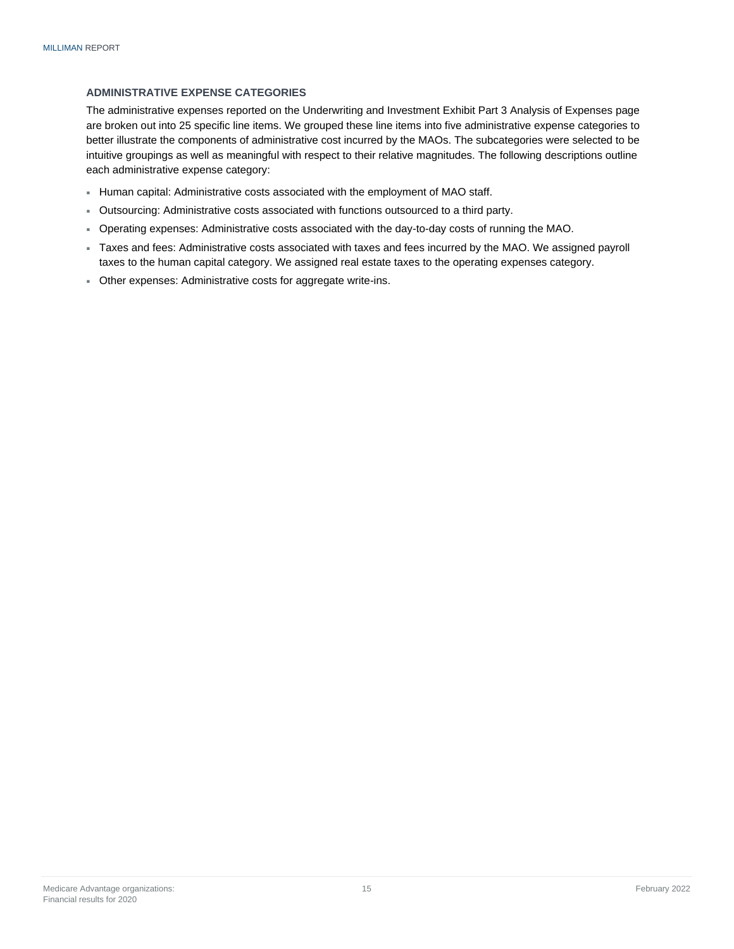#### **ADMINISTRATIVE EXPENSE CATEGORIES**

The administrative expenses reported on the Underwriting and Investment Exhibit Part 3 Analysis of Expenses page are broken out into 25 specific line items. We grouped these line items into five administrative expense categories to better illustrate the components of administrative cost incurred by the MAOs. The subcategories were selected to be intuitive groupings as well as meaningful with respect to their relative magnitudes. The following descriptions outline each administrative expense category:

- Human capital: Administrative costs associated with the employment of MAO staff.
- Outsourcing: Administrative costs associated with functions outsourced to a third party.
- Operating expenses: Administrative costs associated with the day-to-day costs of running the MAO.
- Taxes and fees: Administrative costs associated with taxes and fees incurred by the MAO. We assigned payroll taxes to the human capital category. We assigned real estate taxes to the operating expenses category.
- Other expenses: Administrative costs for aggregate write-ins.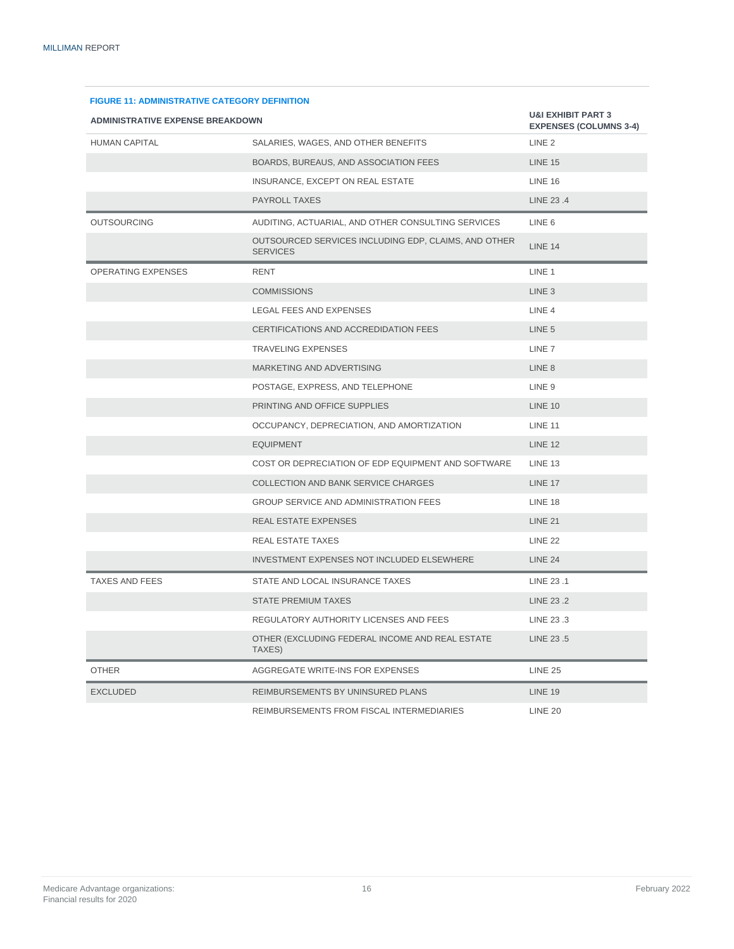| <b>FIGURE 11: ADMINISTRATIVE CATEGORY DEFINITION</b> |                                                                         |                   |  |  |  |  |
|------------------------------------------------------|-------------------------------------------------------------------------|-------------------|--|--|--|--|
| <b>ADMINISTRATIVE EXPENSE BREAKDOWN</b>              | <b>U&amp;I EXHIBIT PART 3</b><br><b>EXPENSES (COLUMNS 3-4)</b>          |                   |  |  |  |  |
| <b>HUMAN CAPITAL</b>                                 | SALARIES, WAGES, AND OTHER BENEFITS                                     | LINE <sub>2</sub> |  |  |  |  |
|                                                      | BOARDS, BUREAUS, AND ASSOCIATION FEES                                   | <b>LINE 15</b>    |  |  |  |  |
|                                                      | INSURANCE, EXCEPT ON REAL ESTATE                                        | <b>LINE 16</b>    |  |  |  |  |
|                                                      | <b>PAYROLL TAXES</b>                                                    | LINE 23.4         |  |  |  |  |
| <b>OUTSOURCING</b>                                   | AUDITING, ACTUARIAL, AND OTHER CONSULTING SERVICES                      | LINE <sub>6</sub> |  |  |  |  |
|                                                      | OUTSOURCED SERVICES INCLUDING EDP, CLAIMS, AND OTHER<br><b>SERVICES</b> | <b>LINE 14</b>    |  |  |  |  |
| <b>OPERATING EXPENSES</b>                            | <b>RENT</b>                                                             | LINE 1            |  |  |  |  |
|                                                      | <b>COMMISSIONS</b>                                                      | LINE <sub>3</sub> |  |  |  |  |
|                                                      | LEGAL FEES AND EXPENSES                                                 | LINE <sub>4</sub> |  |  |  |  |
|                                                      | CERTIFICATIONS AND ACCREDIDATION FEES                                   | LINE <sub>5</sub> |  |  |  |  |
|                                                      | <b>TRAVELING EXPENSES</b>                                               | LINE <sub>7</sub> |  |  |  |  |
|                                                      | MARKETING AND ADVERTISING                                               | LINE <sub>8</sub> |  |  |  |  |
|                                                      | POSTAGE, EXPRESS, AND TELEPHONE                                         | LINE 9            |  |  |  |  |
|                                                      | PRINTING AND OFFICE SUPPLIES                                            | <b>LINE 10</b>    |  |  |  |  |
|                                                      | OCCUPANCY, DEPRECIATION, AND AMORTIZATION                               | <b>LINE 11</b>    |  |  |  |  |
|                                                      | <b>EQUIPMENT</b>                                                        | <b>LINE 12</b>    |  |  |  |  |
|                                                      | COST OR DEPRECIATION OF EDP EQUIPMENT AND SOFTWARE                      | <b>LINE 13</b>    |  |  |  |  |
|                                                      | COLLECTION AND BANK SERVICE CHARGES                                     | <b>LINE 17</b>    |  |  |  |  |
|                                                      | <b>GROUP SERVICE AND ADMINISTRATION FEES</b>                            | LINE 18           |  |  |  |  |
|                                                      | REAL ESTATE EXPENSES                                                    | <b>LINE 21</b>    |  |  |  |  |
|                                                      | REAL ESTATE TAXES                                                       | <b>LINE 22</b>    |  |  |  |  |
|                                                      | INVESTMENT EXPENSES NOT INCLUDED ELSEWHERE                              | <b>LINE 24</b>    |  |  |  |  |
| TAXES AND FEES                                       | STATE AND LOCAL INSURANCE TAXES                                         | LINE 23.1         |  |  |  |  |
|                                                      | <b>STATE PREMIUM TAXES</b>                                              | LINE 23.2         |  |  |  |  |
|                                                      | REGULATORY AUTHORITY LICENSES AND FEES                                  | LINE 23.3         |  |  |  |  |
|                                                      | OTHER (EXCLUDING FEDERAL INCOME AND REAL ESTATE<br>TAXES)               | LINE 23.5         |  |  |  |  |
| <b>OTHER</b>                                         | AGGREGATE WRITE-INS FOR EXPENSES                                        | <b>LINE 25</b>    |  |  |  |  |
| <b>EXCLUDED</b>                                      | REIMBURSEMENTS BY UNINSURED PLANS                                       | <b>LINE 19</b>    |  |  |  |  |
|                                                      | REIMBURSEMENTS FROM FISCAL INTERMEDIARIES                               | <b>LINE 20</b>    |  |  |  |  |